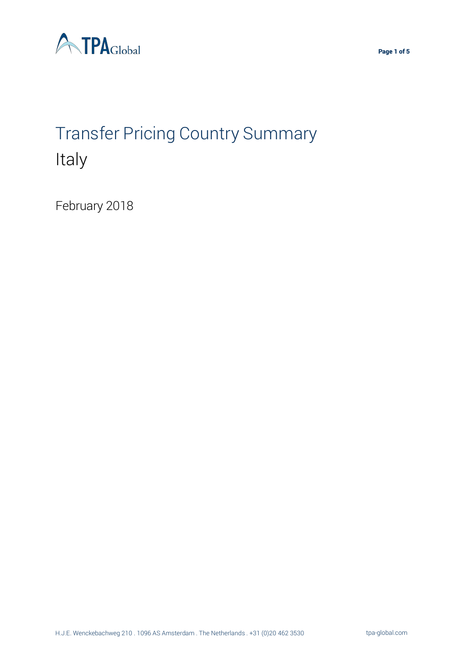

# Transfer Pricing Country Summary Italy

February 2018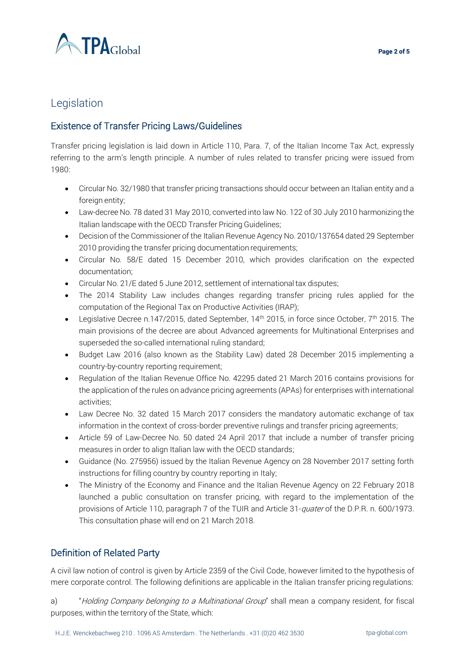

# Legislation

# Existence of Transfer Pricing Laws/Guidelines

Transfer pricing legislation is laid down in Article 110, Para. 7, of the Italian Income Tax Act, expressly referring to the arm's length principle. A number of rules related to transfer pricing were issued from 1980:

- Circular No. 32/1980 that transfer pricing transactions should occur between an Italian entity and a foreign entity;
- Law-decree No. 78 dated 31 May 2010, converted into law No. 122 of 30 July 2010 harmonizing the Italian landscape with the OECD Transfer Pricing Guidelines;
- Decision of the Commissioner of the Italian Revenue Agency No. 2010/137654 dated 29 September 2010 providing the transfer pricing documentation requirements;
- Circular No. 58/E dated 15 December 2010, which provides clarification on the expected documentation;
- Circular No. 21/E dated 5 June 2012, settlement of international tax disputes;
- The 2014 Stability Law includes changes regarding transfer pricing rules applied for the computation of the Regional Tax on Productive Activities (IRAP);
- Legislative Decree n.147/2015, dated September, 14<sup>th</sup> 2015, in force since October, 7<sup>th</sup> 2015. The main provisions of the decree are about Advanced agreements for Multinational Enterprises and superseded the so-called international ruling standard;
- Budget Law 2016 (also known as the Stability Law) dated 28 December 2015 implementing a country-by-country reporting requirement;
- Regulation of the Italian Revenue Office No. 42295 dated 21 March 2016 contains provisions for the application of the rules on advance pricing agreements (APAs) for enterprises with international activities;
- Law Decree No. 32 dated 15 March 2017 considers the mandatory automatic exchange of tax information in the context of cross-border preventive rulings and transfer pricing agreements;
- Article 59 of Law-Decree No. 50 dated 24 April 2017 that include a number of transfer pricing measures in order to align Italian law with the OECD standards;
- Guidance (No. 275956) issued by the Italian Revenue Agency on 28 November 2017 setting forth instructions for filling country by country reporting in Italy;
- The Ministry of the Economy and Finance and the Italian Revenue Agency on 22 February 2018 launched a public consultation on transfer pricing, with regard to the implementation of the provisions of Article 110, paragraph 7 of the TUIR and Article 31-*quater* of the D.P.R. n. 600/1973. This consultation phase will end on 21 March 2018.

# Definition of Related Party

A civil law notion of control is given by Article 2359 of the Civil Code, however limited to the hypothesis of mere corporate control. The following definitions are applicable in the Italian transfer pricing regulations:

a) "Holding Company belonging to a Multinational Group" shall mean a company resident, for fiscal purposes, within the territory of the State, which: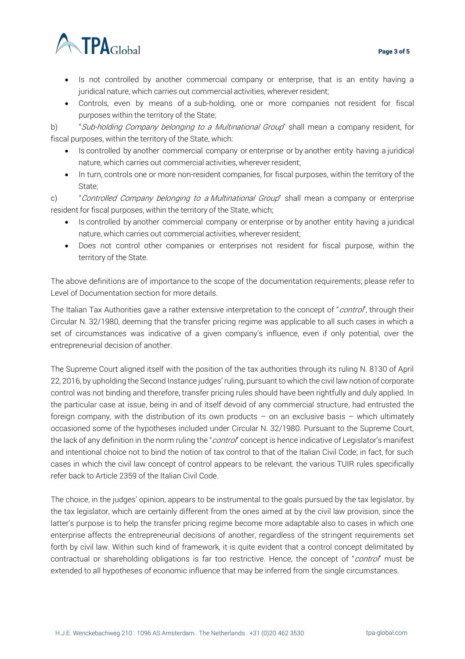

- Is not controlled by another commercial company or enterprise, that is an entity having a juridical nature, which carries out commercial activities, wherever resident;
- Controls, even by means of a sub-holding, one or more companies not resident for fiscal purposes within the territory of the State;

b) "Sub-holding Company belonging to a Multinational Group" shall mean a company resident, for fiscal purposes, within the territory of the State, which:

- Is controlled by another commercial company or enterprise or by another entity having a juridical nature, which carries out commercial activities, wherever resident;
- In turn, controls one or more non-resident companies, for fiscal purposes, within the territory of the State;

c) "Controlled Company belonging to a Multinational Group" shall mean a company or enterprise resident for fiscal purposes, within the territory of the State, which;

- Is controlled by another commercial company or enterprise or by another entity having a juridical nature, which carries out commercial activities, wherever resident;
- Does not control other companies or enterprises not resident for fiscal purpose, within the territory of the State.

The above definitions are of importance to the scope of the documentation requirements; please refer to Level of Documentation section for more details.

The Italian Tax Authorities gave a rather extensive interpretation to the concept of "*control*", through their Circular N. 32/1980, deeming that the transfer pricing regime was applicable to all such cases in which a set of circumstances was indicative of a given company's influence, even if only potential, over the entrepreneurial decision of another.

The Supreme Court aligned itself with the position of the tax authorities through its ruling N. 8130 of April 22, 2016, by upholding the Second Instance judges' ruling, pursuant to which the civil law notion of corporate control was not binding and therefore, transfer pricing rules should have been rightfully and duly applied. In the particular case at issue, being in and of itself devoid of any commercial structure, had entrusted the foreign company, with the distribution of its own products – on an exclusive basis – which ultimately occasioned some of the hypotheses included under Circular N. 32/1980. Pursuant to the Supreme Court, the lack of any definition in the norm ruling the "control" concept is hence indicative of Legislator's manifest and intentional choice not to bind the notion of tax control to that of the Italian Civil Code; in fact, for such cases in which the civil law concept of control appears to be relevant, the various TUIR rules specifically refer back to Article 2359 of the Italian Civil Code.

The choice, in the judges' opinion, appears to be instrumental to the goals pursued by the tax legislator, by the tax legislator, which are certainly different from the ones aimed at by the civil law provision, since the latter's purpose is to help the transfer pricing regime become more adaptable also to cases in which one enterprise affects the entrepreneurial decisions of another, regardless of the stringent requirements set forth by civil law. Within such kind of framework, it is quite evident that a control concept delimitated by contractual or shareholding obligations is far too restrictive. Hence, the concept of "control" must be extended to all hypotheses of economic influence that may be inferred from the single circumstances.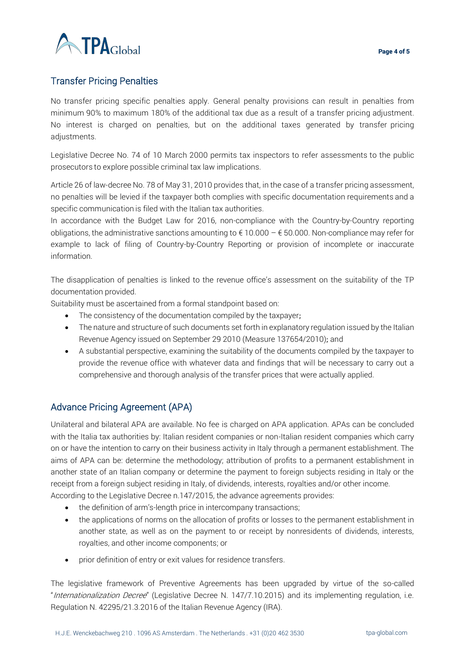

## Transfer Pricing Penalties

No transfer pricing specific penalties apply. General penalty provisions can result in penalties from minimum 90% to maximum 180% of the additional tax due as a result of a transfer pricing adjustment. No interest is charged on penalties, but on the additional taxes generated by transfer pricing adjustments.

Legislative Decree No. 74 of 10 March 2000 permits tax inspectors to refer assessments to the public prosecutors to explore possible criminal tax law implications.

Article 26 of law-decree No. 78 of May 31, 2010 provides that, in the case of a transfer pricing assessment, no penalties will be levied if the taxpayer both complies with specific documentation requirements and a specific communication is filed with the Italian tax authorities.

In accordance with the Budget Law for 2016, non-compliance with the Country-by-Country reporting obligations, the administrative sanctions amounting to  $\epsilon$  10.000 –  $\epsilon$  50.000. Non-compliance may refer for example to lack of filing of Country-by-Country Reporting or provision of incomplete or inaccurate information.

The disapplication of penalties is linked to the revenue office's assessment on the suitability of the TP documentation provided.

Suitability must be ascertained from a formal standpoint based on:

- The consistency of the documentation compiled by the taxpayer;
- The nature and structure of such documents set forth in explanatory regulation issued by the Italian Revenue Agency issued on September 29 2010 (Measure 137654/2010); and
- A substantial perspective, examining the suitability of the documents compiled by the taxpayer to provide the revenue office with whatever data and findings that will be necessary to carry out a comprehensive and thorough analysis of the transfer prices that were actually applied.

## Advance Pricing Agreement (APA)

Unilateral and bilateral APA are available. No fee is charged on APA application. APAs can be concluded with the Italia tax authorities by: Italian resident companies or non-Italian resident companies which carry on or have the intention to carry on their business activity in Italy through a permanent establishment. The aims of APA can be: determine the methodology; attribution of profits to a permanent establishment in another state of an Italian company or determine the payment to foreign subjects residing in Italy or the receipt from a foreign subject residing in Italy, of dividends, interests, royalties and/or other income.

According to the Legislative Decree n.147/2015, the advance agreements provides:

- the definition of arm's-length price in intercompany transactions;
- the applications of norms on the allocation of profits or losses to the permanent establishment in another state, as well as on the payment to or receipt by nonresidents of dividends, interests, royalties, and other income components; or
- prior definition of entry or exit values for residence transfers.

The legislative framework of Preventive Agreements has been upgraded by virtue of the so-called "Internationalization Decree" (Legislative Decree N. 147/7.10.2015) and its implementing regulation, i.e. Regulation N. 42295/21.3.2016 of the Italian Revenue Agency (IRA).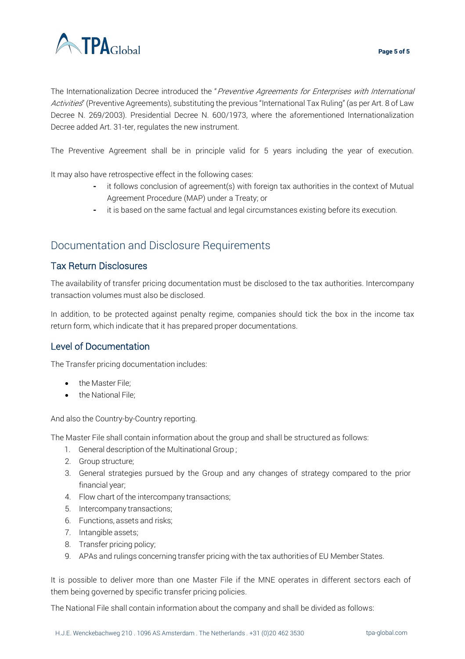

The Internationalization Decree introduced the "Preventive Agreements for Enterprises with International Activities" (Preventive Agreements), substituting the previous "International Tax Ruling" (as per Art. 8 of Law Decree N. 269/2003). Presidential Decree N. 600/1973, where the aforementioned Internationalization Decree added Art. 31-ter, regulates the new instrument.

The Preventive Agreement shall be in principle valid for 5 years including the year of execution.

It may also have retrospective effect in the following cases:

- it follows conclusion of agreement(s) with foreign tax authorities in the context of Mutual Agreement Procedure (MAP) under a Treaty; or
- it is based on the same factual and legal circumstances existing before its execution.

# Documentation and Disclosure Requirements

### Tax Return Disclosures

The availability of transfer pricing documentation must be disclosed to the tax authorities. Intercompany transaction volumes must also be disclosed.

In addition, to be protected against penalty regime, companies should tick the box in the income tax return form, which indicate that it has prepared proper documentations.

## Level of Documentation

The Transfer pricing documentation includes:

- the Master File:
- the National File;

And also the Country-by-Country reporting.

The Master File shall contain information about the group and shall be structured as follows:

- 1. General description of the Multinational Group ;
- 2. Group structure;
- 3. General strategies pursued by the Group and any changes of strategy compared to the prior financial year;
- 4. Flow chart of the intercompany transactions;
- 5. Intercompany transactions;
- 6. Functions, assets and risks;
- 7. Intangible assets;
- 8. Transfer pricing policy;
- 9. APAs and rulings concerning transfer pricing with the tax authorities of EU Member States.

It is possible to deliver more than one Master File if the MNE operates in different sectors each of them being governed by specific transfer pricing policies.

The National File shall contain information about the company and shall be divided as follows: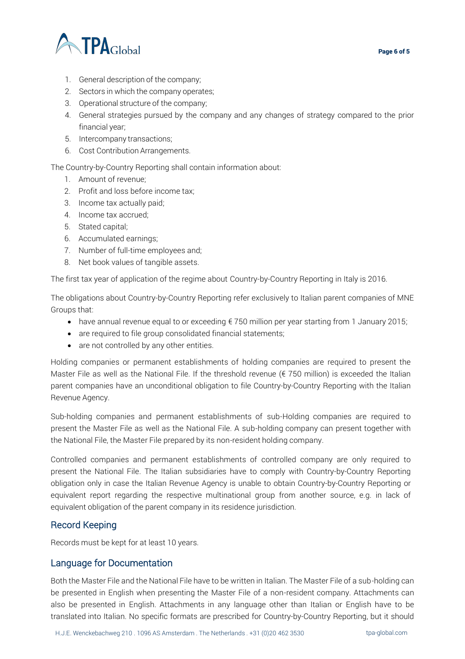



- 1. General description of the company;
- 2. Sectors in which the company operates;
- 3. Operational structure of the company;
- 4. General strategies pursued by the company and any changes of strategy compared to the prior financial year;
- 5. Intercompany transactions;
- 6. Cost Contribution Arrangements.

The Country-by-Country Reporting shall contain information about:

- 1. Amount of revenue;
- 2. Profit and loss before income tax;
- 3. Income tax actually paid;
- 4. Income tax accrued;
- 5. Stated capital;
- 6. Accumulated earnings;
- 7. Number of full-time employees and;
- 8. Net book values of tangible assets.

The first tax year of application of the regime about Country-by-Country Reporting in Italy is 2016.

The obligations about Country-by-Country Reporting refer exclusively to Italian parent companies of MNE Groups that:

- have annual revenue equal to or exceeding € 750 million per year starting from 1 January 2015;
- are required to file group consolidated financial statements;
- are not controlled by any other entities.

Holding companies or permanent establishments of holding companies are required to present the Master File as well as the National File. If the threshold revenue ( $\epsilon$  750 million) is exceeded the Italian parent companies have an unconditional obligation to file Country-by-Country Reporting with the Italian Revenue Agency.

Sub-holding companies and permanent establishments of sub-Holding companies are required to present the Master File as well as the National File. A sub-holding company can present together with the National File, the Master File prepared by its non-resident holding company.

Controlled companies and permanent establishments of controlled company are only required to present the National File. The Italian subsidiaries have to comply with Country-by-Country Reporting obligation only in case the Italian Revenue Agency is unable to obtain Country-by-Country Reporting or equivalent report regarding the respective multinational group from another source, e.g. in lack of equivalent obligation of the parent company in its residence jurisdiction.

### Record Keeping

Records must be kept for at least 10 years.

### Language for Documentation

Both the Master File and the National File have to be written in Italian. The Master File of a sub-holding can be presented in English when presenting the Master File of a non-resident company. Attachments can also be presented in English. Attachments in any language other than Italian or English have to be translated into Italian. No specific formats are prescribed for Country-by-Country Reporting, but it should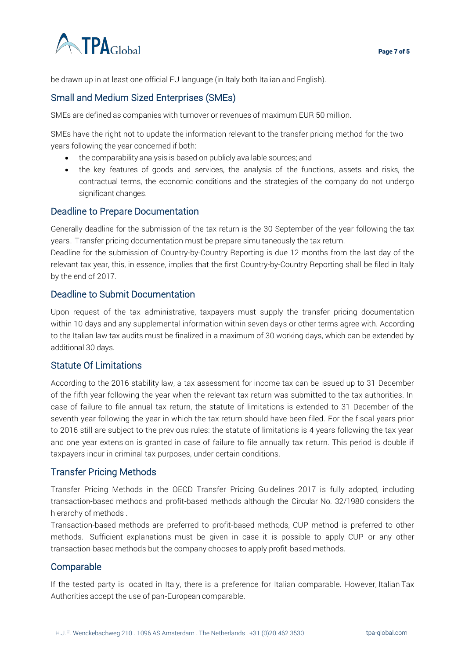

be drawn up in at least one official EU language (in Italy both Italian and English).

### Small and Medium Sized Enterprises (SMEs)

SMEs are defined as companies with turnover or revenues of maximum EUR 50 million.

SMEs have the right not to update the information relevant to the transfer pricing method for the two years following the year concerned if both:

- the comparability analysis is based on publicly available sources; and
- the key features of goods and services, the analysis of the functions, assets and risks, the contractual terms, the economic conditions and the strategies of the company do not undergo significant changes.

#### Deadline to Prepare Documentation

Generally deadline for the submission of the tax return is the 30 September of the year following the tax years. Transfer pricing documentation must be prepare simultaneously the tax return.

Deadline for the submission of Country-by-Country Reporting is due 12 months from the last day of the relevant tax year, this, in essence, implies that the first Country-by-Country Reporting shall be filed in Italy by the end of 2017.

#### Deadline to Submit Documentation

Upon request of the tax administrative, taxpayers must supply the transfer pricing documentation within 10 days and any supplemental information within seven days or other terms agree with. According to the Italian law tax audits must be finalized in a maximum of 30 working days, which can be extended by additional 30 days.

#### Statute Of Limitations

According to the 2016 stability law, a tax assessment for income tax can be issued up to 31 December of the fifth year following the year when the relevant tax return was submitted to the tax authorities. In case of failure to file annual tax return, the statute of limitations is extended to 31 December of the seventh year following the year in which the tax return should have been filed. For the fiscal years prior to 2016 still are subject to the previous rules: the statute of limitations is 4 years following the tax year and one year extension is granted in case of failure to file annually tax return. This period is double if taxpayers incur in criminal tax purposes, under certain conditions.

#### Transfer Pricing Methods

Transfer Pricing Methods in the OECD Transfer Pricing Guidelines 2017 is fully adopted, including transaction-based methods and profit-based methods although the Circular No. 32/1980 considers the hierarchy of methods .

Transaction-based methods are preferred to profit-based methods, CUP method is preferred to other methods. Sufficient explanations must be given in case it is possible to apply CUP or any other transaction-based methods but the company chooses to apply profit-based methods.

#### **Comparable**

If the tested party is located in Italy, there is a preference for Italian comparable. However, Italian Tax Authorities accept the use of pan-European comparable.